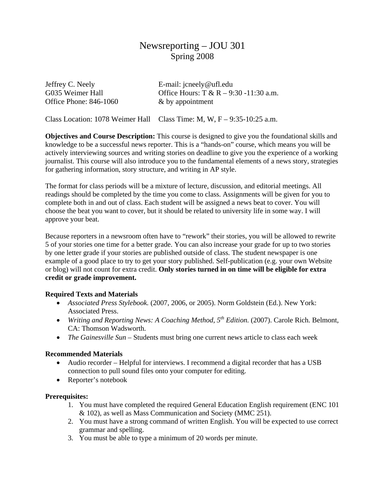# Newsreporting – JOU 301 Spring 2008

| Jeffrey C. Neely              | E-mail: $\text{jeneely@uff.edu}$       |
|-------------------------------|----------------------------------------|
| G035 Weimer Hall              | Office Hours: T & R – 9:30 -11:30 a.m. |
| <b>Office Phone: 846-1060</b> | $\&$ by appointment                    |

Class Location: 1078 Weimer Hall Class Time: M, W, F – 9:35-10:25 a.m.

**Objectives and Course Description:** This course is designed to give you the foundational skills and knowledge to be a successful news reporter. This is a "hands-on" course, which means you will be actively interviewing sources and writing stories on deadline to give you the experience of a working journalist. This course will also introduce you to the fundamental elements of a news story, strategies for gathering information, story structure, and writing in AP style.

The format for class periods will be a mixture of lecture, discussion, and editorial meetings. All readings should be completed by the time you come to class. Assignments will be given for you to complete both in and out of class. Each student will be assigned a news beat to cover. You will choose the beat you want to cover, but it should be related to university life in some way. I will approve your beat.

Because reporters in a newsroom often have to "rework" their stories, you will be allowed to rewrite 5 of your stories one time for a better grade. You can also increase your grade for up to two stories by one letter grade if your stories are published outside of class. The student newspaper is one example of a good place to try to get your story published. Self-publication (e.g. your own Website or blog) will not count for extra credit. **Only stories turned in on time will be eligible for extra credit or grade improvement.** 

## **Required Texts and Materials**

- *Associated Press Stylebook.* (2007, 2006, or 2005). Norm Goldstein (Ed.). New York: Associated Press.
- *Writing and Reporting News: A Coaching Method, 5<sup>th</sup> Edition.* (2007). Carole Rich. Belmont, CA: Thomson Wadsworth.
- *The Gainesville Sun* Students must bring one current news article to class each week

## **Recommended Materials**

- Audio recorder Helpful for interviews. I recommend a digital recorder that has a USB connection to pull sound files onto your computer for editing.
- Reporter's notebook

## **Prerequisites:**

- 1. You must have completed the required General Education English requirement (ENC 101 & 102), as well as Mass Communication and Society (MMC 251).
- 2. You must have a strong command of written English. You will be expected to use correct grammar and spelling.
- 3. You must be able to type a minimum of 20 words per minute.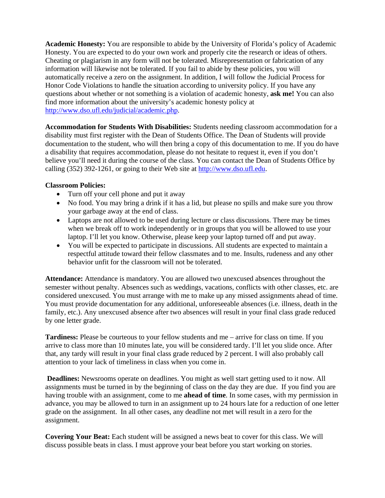**Academic Honesty:** You are responsible to abide by the University of Florida's policy of Academic Honesty. You are expected to do your own work and properly cite the research or ideas of others. Cheating or plagiarism in any form will not be tolerated. Misrepresentation or fabrication of any information will likewise not be tolerated. If you fail to abide by these policies, you will automatically receive a zero on the assignment. In addition, I will follow the Judicial Process for Honor Code Violations to handle the situation according to university policy. If you have any questions about whether or not something is a violation of academic honesty, **ask me!** You can also find more information about the university's academic honesty policy at [http://www.dso.ufl.edu/judicial/academic.php.](http://www.dso.ufl.edu/judicial/academic.php)

**Accommodation for Students With Disabilities:** Students needing classroom accommodation for a disability must first register with the Dean of Students Office. The Dean of Students will provide documentation to the student, who will then bring a copy of this documentation to me. If you do have a disability that requires accommodation, please do not hesitate to request it, even if you don't believe you'll need it during the course of the class. You can contact the Dean of Students Office by calling (352) 392-1261, or going to their Web site at [http://www.dso.ufl.edu](http://www.dso.ufl.edu/).

# **Classroom Policies:**

- Turn off your cell phone and put it away
- No food. You may bring a drink if it has a lid, but please no spills and make sure you throw your garbage away at the end of class.
- Laptops are not allowed to be used during lecture or class discussions. There may be times when we break off to work independently or in groups that you will be allowed to use your laptop. I'll let you know. Otherwise, please keep your laptop turned off and put away.
- You will be expected to participate in discussions. All students are expected to maintain a respectful attitude toward their fellow classmates and to me. Insults, rudeness and any other behavior unfit for the classroom will not be tolerated.

**Attendance:** Attendance is mandatory. You are allowed two unexcused absences throughout the semester without penalty. Absences such as weddings, vacations, conflicts with other classes, etc. are considered unexcused. You must arrange with me to make up any missed assignments ahead of time. You must provide documentation for any additional, unforeseeable absences (i.e. illness, death in the family, etc.). Any unexcused absence after two absences will result in your final class grade reduced by one letter grade.

**Tardiness:** Please be courteous to your fellow students and me – arrive for class on time. If you arrive to class more than 10 minutes late, you will be considered tardy. I'll let you slide once. After that, any tardy will result in your final class grade reduced by 2 percent. I will also probably call attention to your lack of timeliness in class when you come in.

**Deadlines:** Newsrooms operate on deadlines. You might as well start getting used to it now. All assignments must be turned in by the beginning of class on the day they are due. If you find you are having trouble with an assignment, come to me **ahead of time**. In some cases, with my permission in advance, you may be allowed to turn in an assignment up to 24 hours late for a reduction of one letter grade on the assignment. In all other cases, any deadline not met will result in a zero for the assignment.

**Covering Your Beat:** Each student will be assigned a news beat to cover for this class. We will discuss possible beats in class. I must approve your beat before you start working on stories.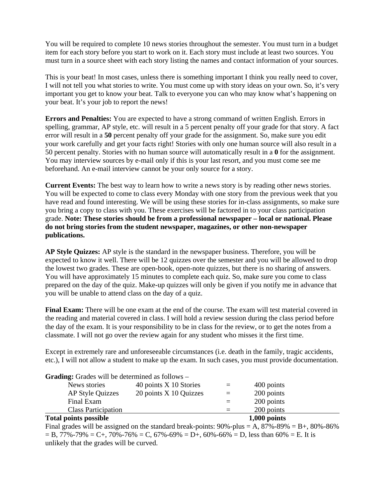You will be required to complete 10 news stories throughout the semester. You must turn in a budget item for each story before you start to work on it. Each story must include at least two sources. You must turn in a source sheet with each story listing the names and contact information of your sources.

This is your beat! In most cases, unless there is something important I think you really need to cover, I will not tell you what stories to write. You must come up with story ideas on your own. So, it's very important you get to know your beat. Talk to everyone you can who may know what's happening on your beat. It's your job to report the news!

**Errors and Penalties:** You are expected to have a strong command of written English. Errors in spelling, grammar, AP style, etc. will result in a 5 percent penalty off your grade for that story. A fact error will result in a **50** percent penalty off your grade for the assignment. So, make sure you edit your work carefully and get your facts right! Stories with only one human source will also result in a 50 percent penalty. Stories with no human source will automatically result in a **0** for the assignment. You may interview sources by e-mail only if this is your last resort, and you must come see me beforehand. An e-mail interview cannot be your only source for a story.

**Current Events:** The best way to learn how to write a news story is by reading other news stories. You will be expected to come to class every Monday with one story from the previous week that you have read and found interesting. We will be using these stories for in-class assignments, so make sure you bring a copy to class with you. These exercises will be factored in to your class participation grade. **Note: These stories should be from a professional newspaper – local or national. Please do not bring stories from the student newspaper, magazines, or other non-newspaper publications.** 

**AP Style Quizzes:** AP style is the standard in the newspaper business. Therefore, you will be expected to know it well. There will be 12 quizzes over the semester and you will be allowed to drop the lowest two grades. These are open-book, open-note quizzes, but there is no sharing of answers. You will have approximately 15 minutes to complete each quiz. So, make sure you come to class prepared on the day of the quiz. Make-up quizzes will only be given if you notify me in advance that you will be unable to attend class on the day of a quiz.

**Final Exam:** There will be one exam at the end of the course. The exam will test material covered in the reading and material covered in class. I will hold a review session during the class period before the day of the exam. It is your responsibility to be in class for the review, or to get the notes from a classmate. I will not go over the review again for any student who misses it the first time.

Except in extremely rare and unforeseeable circumstances (i.e. death in the family, tragic accidents, etc.), I will not allow a student to make up the exam. In such cases, you must provide documentation.

| <b>Total points possible</b>                           |                        |     | $1,000$ points |  |
|--------------------------------------------------------|------------------------|-----|----------------|--|
| <b>Class Participation</b>                             |                        |     | 200 points     |  |
| Final Exam                                             |                        |     | 200 points     |  |
| <b>AP Style Quizzes</b>                                | 20 points X 10 Quizzes | $=$ | 200 points     |  |
| News stories                                           | 40 points X 10 Stories | $=$ | 400 points     |  |
| <b>Grading:</b> Grades will be determined as follows – |                        |     |                |  |

**Grading:** Grades will be determined as follows –

Final grades will be assigned on the standard break-points:  $90\%$ -plus = A,  $87\%$ - $89\%$  = B+,  $80\%$ - $86\%$  $= B$ , 77%-79%  $= C_{+}$ , 70%-76%  $= C$ , 67%-69%  $= D_{+}$ , 60%-66%  $= D$ , less than 60%  $= E$ . It is unlikely that the grades will be curved.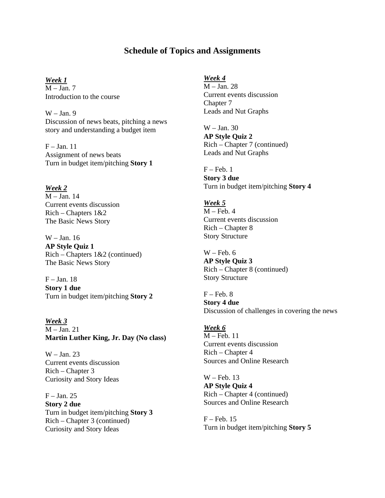# **Schedule of Topics and Assignments**

*Week 1*  $M - Jan. 7$ Introduction to the course

 $W - Jan.9$ Discussion of news beats, pitching a news story and understanding a budget item

 $F - Jan. 11$ Assignment of news beats Turn in budget item/pitching **Story 1** 

*Week 2*

 $M - Jan$  14 Current events discussion  $Rich - Chapters 1&2$ The Basic News Story

W – Jan. 16 **AP Style Quiz 1**  Rich – Chapters 1&2 (continued) The Basic News Story

 $F - Jan. 18$ **Story 1 due**  Turn in budget item/pitching **Story 2**

*Week 3* M – Jan. 21 **Martin Luther King, Jr. Day (No class)** 

W – Jan. 23 Current events discussion Rich – Chapter 3 Curiosity and Story Ideas

 $F - Jan. 25$ **Story 2 due**  Turn in budget item/pitching **Story 3**  Rich – Chapter 3 (continued) Curiosity and Story Ideas

### *Week 4*

M – Jan. 28 Current events discussion Chapter 7 Leads and Nut Graphs

W – Jan. 30 **AP Style Quiz 2**  Rich – Chapter 7 (continued) Leads and Nut Graphs

 $F - Feb. 1$ **Story 3 due**  Turn in budget item/pitching **Story 4** 

### *Week 5*

 $M - Feb. 4$ Current events discussion Rich – Chapter 8 Story Structure

 $W - Feb. 6$ **AP Style Quiz 3**  Rich – Chapter 8 (continued) Story Structure

 $F - Feb. 8$ **Story 4 due**  Discussion of challenges in covering the news

### *Week 6*

M – Feb. 11 Current events discussion Rich – Chapter 4 Sources and Online Research

W – Feb. 13 **AP Style Quiz 4**  Rich – Chapter 4 (continued) Sources and Online Research

F – Feb. 15 Turn in budget item/pitching **Story 5**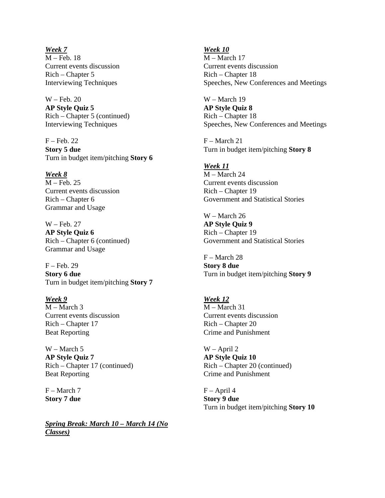*Week 7* M – Feb. 18 Current events discussion Rich – Chapter 5 Interviewing Techniques

W – Feb. 20 **AP Style Quiz 5**  Rich – Chapter 5 (continued) Interviewing Techniques

 $F - Feb. 22$ **Story 5 due**  Turn in budget item/pitching **Story 6** 

*Week 8* M – Feb. 25 Current events discussion Rich – Chapter 6 Grammar and Usage

W – Feb. 27 **AP Style Quiz 6**  Rich – Chapter 6 (continued) Grammar and Usage

 $F - Feb. 29$ **Story 6 due**  Turn in budget item/pitching **Story 7** 

*Week 9*  $M - March 3$ Current events discussion Rich – Chapter 17 Beat Reporting

W – March 5 **AP Style Quiz 7**  Rich – Chapter 17 (continued) Beat Reporting

F – March 7 **Story 7 due**

*Spring Break: March 10 – March 14 (No Classes)*

*Week 10* M – March 17 Current events discussion Rich – Chapter 18 Speeches, New Conferences and Meetings

W – March 19 **AP Style Quiz 8**  Rich – Chapter 18 Speeches, New Conferences and Meetings

F – March 21 Turn in budget item/pitching **Story 8**

*Week 11* M – March 24 Current events discussion Rich – Chapter 19 Government and Statistical Stories

W – March 26 **AP Style Quiz 9**  Rich – Chapter 19 Government and Statistical Stories

F – March 28 **Story 8 due**  Turn in budget item/pitching **Story 9** 

*Week 12* M – March 31 Current events discussion Rich – Chapter 20 Crime and Punishment

W – April 2 **AP Style Quiz 10**  Rich – Chapter 20 (continued) Crime and Punishment

 $F - April 4$ **Story 9 due**  Turn in budget item/pitching **Story 10**